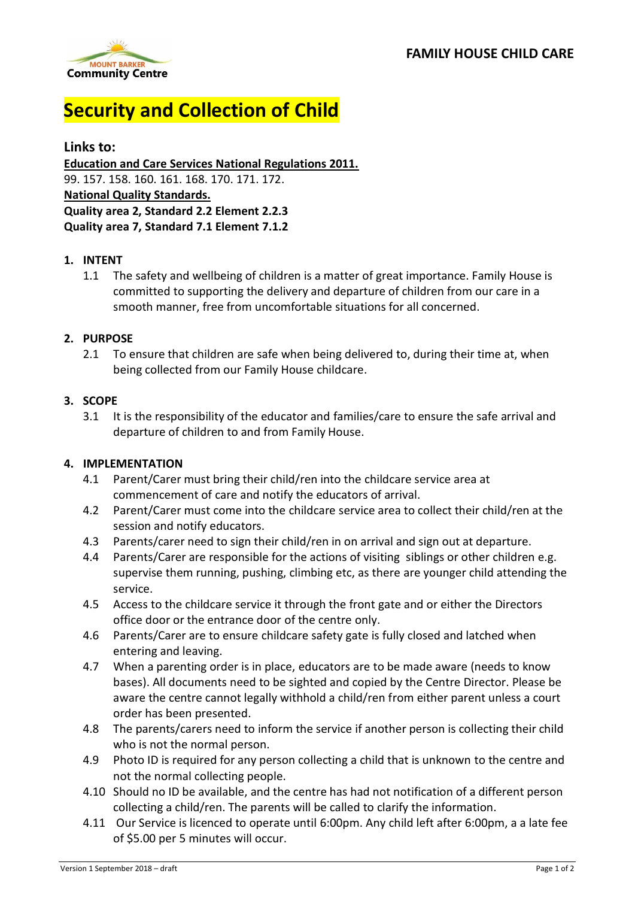

# **Security and Collection of Child**

# **Links to:**

**Education and Care Services National Regulations 2011.** 99. 157. 158. 160. 161. 168. 170. 171. 172. **National Quality Standards. Quality area 2, Standard 2.2 Element 2.2.3 Quality area 7, Standard 7.1 Element 7.1.2**

### **1. INTENT**

1.1 The safety and wellbeing of children is a matter of great importance. Family House is committed to supporting the delivery and departure of children from our care in a smooth manner, free from uncomfortable situations for all concerned.

### **2. PURPOSE**

2.1 To ensure that children are safe when being delivered to, during their time at, when being collected from our Family House childcare.

#### **3. SCOPE**

3.1 It is the responsibility of the educator and families/care to ensure the safe arrival and departure of children to and from Family House.

### **4. IMPLEMENTATION**

- 4.1 Parent/Carer must bring their child/ren into the childcare service area at commencement of care and notify the educators of arrival.
- 4.2 Parent/Carer must come into the childcare service area to collect their child/ren at the session and notify educators.
- 4.3 Parents/carer need to sign their child/ren in on arrival and sign out at departure.
- 4.4 Parents/Carer are responsible for the actions of visiting siblings or other children e.g. supervise them running, pushing, climbing etc, as there are younger child attending the service.
- 4.5 Access to the childcare service it through the front gate and or either the Directors office door or the entrance door of the centre only.
- 4.6 Parents/Carer are to ensure childcare safety gate is fully closed and latched when entering and leaving.
- 4.7 When a parenting order is in place, educators are to be made aware (needs to know bases). All documents need to be sighted and copied by the Centre Director. Please be aware the centre cannot legally withhold a child/ren from either parent unless a court order has been presented.
- 4.8 The parents/carers need to inform the service if another person is collecting their child who is not the normal person.
- 4.9 Photo ID is required for any person collecting a child that is unknown to the centre and not the normal collecting people.
- 4.10 Should no ID be available, and the centre has had not notification of a different person collecting a child/ren. The parents will be called to clarify the information.
- 4.11 Our Service is licenced to operate until 6:00pm. Any child left after 6:00pm, a a late fee of \$5.00 per 5 minutes will occur.